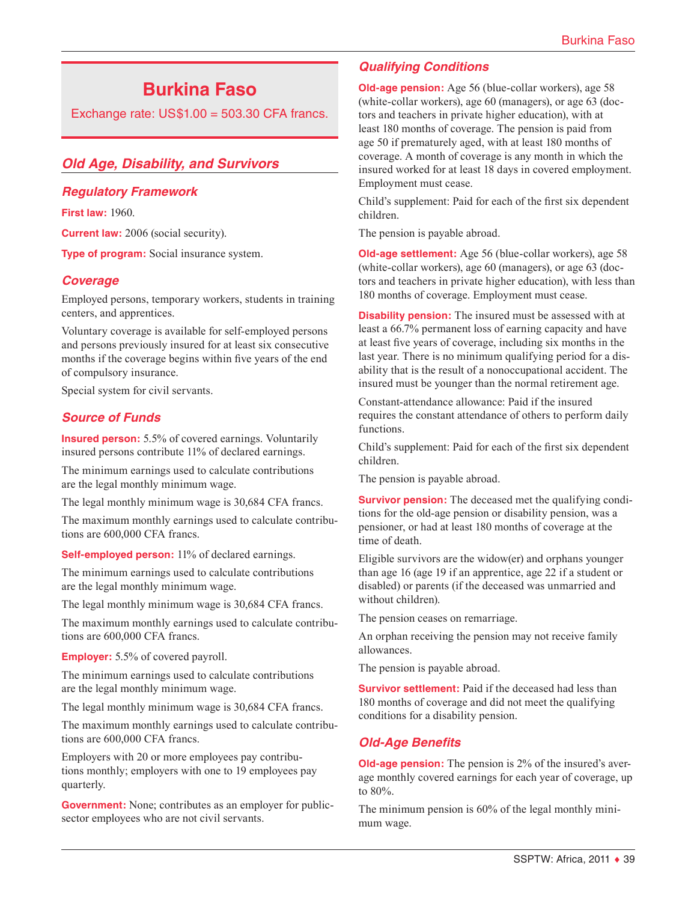# **Burkina Faso**

Exchange rate:  $US$1.00 = 503.30$  CFA francs.

# *Old Age, Disability, and Survivors*

## *Regulatory Framework*

**First law:** 1960.

**Current law:** 2006 (social security).

**Type of program:** Social insurance system.

# *Coverage*

Employed persons, temporary workers, students in training centers, and apprentices.

Voluntary coverage is available for self-employed persons and persons previously insured for at least six consecutive months if the coverage begins within five years of the end of compulsory insurance.

Special system for civil servants.

# *Source of Funds*

**Insured person:** 5.5% of covered earnings. Voluntarily insured persons contribute 11% of declared earnings.

The minimum earnings used to calculate contributions are the legal monthly minimum wage.

The legal monthly minimum wage is 30,684 CFA francs.

The maximum monthly earnings used to calculate contributions are 600,000 CFA francs.

**Self-employed person:** 11% of declared earnings.

The minimum earnings used to calculate contributions are the legal monthly minimum wage.

The legal monthly minimum wage is 30,684 CFA francs.

The maximum monthly earnings used to calculate contributions are 600,000 CFA francs.

**Employer:** 5.5% of covered payroll.

The minimum earnings used to calculate contributions are the legal monthly minimum wage.

The legal monthly minimum wage is 30,684 CFA francs.

The maximum monthly earnings used to calculate contributions are 600,000 CFA francs.

Employers with 20 or more employees pay contributions monthly; employers with one to 19 employees pay quarterly.

**Government:** None; contributes as an employer for publicsector employees who are not civil servants.

# *Qualifying Conditions*

**Old-age pension:** Age 56 (blue-collar workers), age 58 (white-collar workers), age 60 (managers), or age 63 (doctors and teachers in private higher education), with at least 180 months of coverage. The pension is paid from age 50 if prematurely aged, with at least 180 months of coverage. A month of coverage is any month in which the insured worked for at least 18 days in covered employment. Employment must cease.

Child's supplement: Paid for each of the first six dependent children.

The pension is payable abroad.

**Old-age settlement:** Age 56 (blue-collar workers), age 58 (white-collar workers), age 60 (managers), or age 63 (doctors and teachers in private higher education), with less than 180 months of coverage. Employment must cease.

**Disability pension:** The insured must be assessed with at least a 66.7% permanent loss of earning capacity and have at least five years of coverage, including six months in the last year. There is no minimum qualifying period for a disability that is the result of a nonoccupational accident. The insured must be younger than the normal retirement age.

Constant-attendance allowance: Paid if the insured requires the constant attendance of others to perform daily functions.

Child's supplement: Paid for each of the first six dependent children.

The pension is payable abroad.

**Survivor pension:** The deceased met the qualifying conditions for the old-age pension or disability pension, was a pensioner, or had at least 180 months of coverage at the time of death.

Eligible survivors are the widow(er) and orphans younger than age 16 (age 19 if an apprentice, age 22 if a student or disabled) or parents (if the deceased was unmarried and without children).

The pension ceases on remarriage.

An orphan receiving the pension may not receive family allowances.

The pension is payable abroad.

**Survivor settlement:** Paid if the deceased had less than 180 months of coverage and did not meet the qualifying conditions for a disability pension.

# *Old-Age Benefits*

**Old-age pension:** The pension is 2% of the insured's average monthly covered earnings for each year of coverage, up to 80%.

The minimum pension is 60% of the legal monthly minimum wage.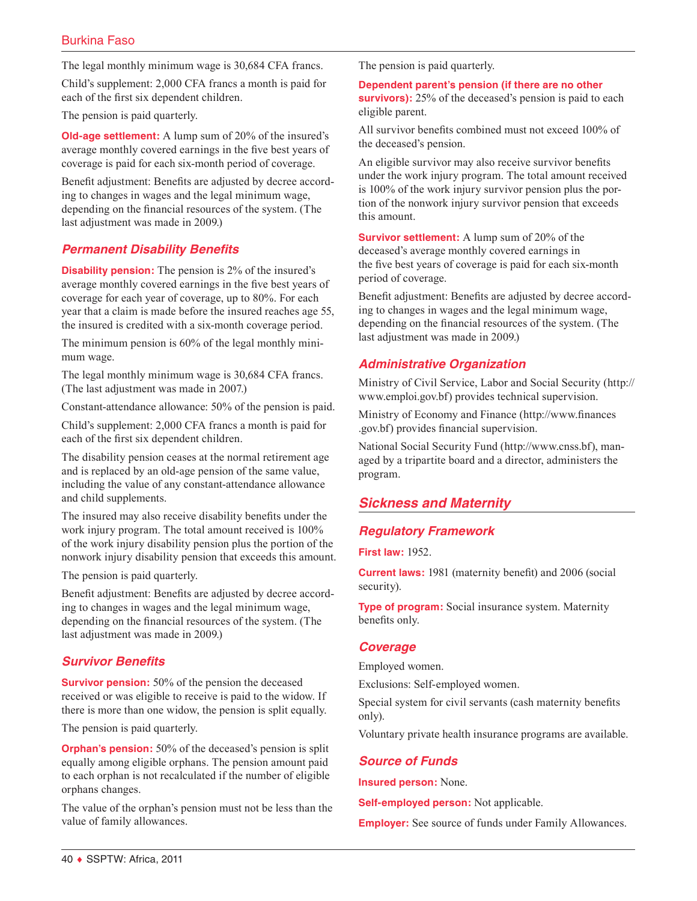The legal monthly minimum wage is 30,684 CFA francs.

Child's supplement: 2,000 CFA francs a month is paid for each of the first six dependent children.

The pension is paid quarterly.

**Old-age settlement:** A lump sum of 20% of the insured's average monthly covered earnings in the five best years of coverage is paid for each six-month period of coverage.

Benefit adjustment: Benefits are adjusted by decree according to changes in wages and the legal minimum wage, depending on the financial resources of the system. (The last adjustment was made in 2009.)

# *Permanent Disability Benefits*

**Disability pension:** The pension is 2% of the insured's average monthly covered earnings in the five best years of coverage for each year of coverage, up to 80%. For each year that a claim is made before the insured reaches age 55, the insured is credited with a six-month coverage period.

The minimum pension is 60% of the legal monthly minimum wage.

The legal monthly minimum wage is 30,684 CFA francs. (The last adjustment was made in 2007.)

Constant-attendance allowance: 50% of the pension is paid.

Child's supplement: 2,000 CFA francs a month is paid for each of the first six dependent children.

The disability pension ceases at the normal retirement age and is replaced by an old-age pension of the same value, including the value of any constant-attendance allowance and child supplements.

The insured may also receive disability benefits under the work injury program. The total amount received is 100% of the work injury disability pension plus the portion of the nonwork injury disability pension that exceeds this amount.

The pension is paid quarterly.

Benefit adjustment: Benefits are adjusted by decree according to changes in wages and the legal minimum wage, depending on the financial resources of the system. (The last adjustment was made in 2009.)

# *Survivor Benefits*

**Survivor pension:** 50% of the pension the deceased received or was eligible to receive is paid to the widow. If there is more than one widow, the pension is split equally.

The pension is paid quarterly.

**Orphan's pension:** 50% of the deceased's pension is split equally among eligible orphans. The pension amount paid to each orphan is not recalculated if the number of eligible orphans changes.

The value of the orphan's pension must not be less than the value of family allowances.

The pension is paid quarterly.

**Dependent parent's pension (if there are no other survivors):** 25% of the deceased's pension is paid to each eligible parent.

All survivor benefits combined must not exceed 100% of the deceased's pension.

An eligible survivor may also receive survivor benefits under the work injury program. The total amount received is 100% of the work injury survivor pension plus the portion of the nonwork injury survivor pension that exceeds this amount.

**Survivor settlement:** A lump sum of 20% of the deceased's average monthly covered earnings in the five best years of coverage is paid for each six-month period of coverage.

Benefit adjustment: Benefits are adjusted by decree according to changes in wages and the legal minimum wage, depending on the financial resources of the system. (The last adjustment was made in 2009.)

# *Administrative Organization*

Ministry of Civil Service, Labor and Social Security ([http://](http://www.emploi.gov.bf) [www.emploi.gov.bf](http://www.emploi.gov.bf)) provides technical supervision.

Ministry of Economy and Finance ([http://www.finances](http://www.finances.gov.bf) [.gov.bf\)](http://www.finances.gov.bf) provides financial supervision.

National Social Security Fund [\(http://www.cnss.bf\)](http://www.cnss.bf), managed by a tripartite board and a director, administers the program.

# *Sickness and Maternity*

# *Regulatory Framework*

**First law:** 1952.

**Current laws:** 1981 (maternity benefit) and 2006 (social security).

**Type of program:** Social insurance system. Maternity benefits only.

## *Coverage*

Employed women.

Exclusions: Self-employed women.

Special system for civil servants (cash maternity benefits only).

Voluntary private health insurance programs are available.

#### *Source of Funds*

**Insured person:** None.

**Self-employed person:** Not applicable.

**Employer:** See source of funds under Family Allowances.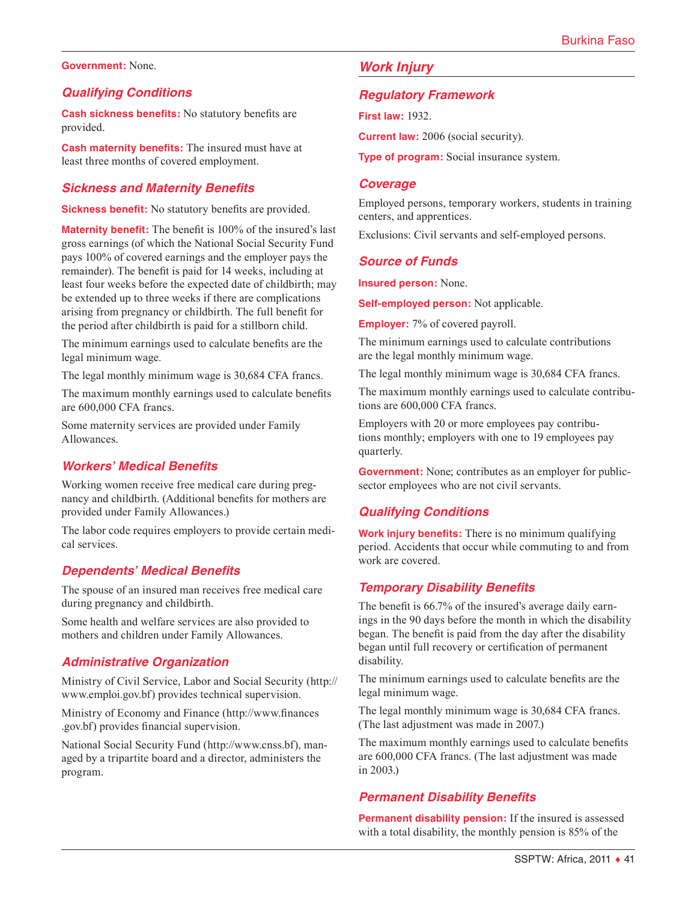#### **Government:** None.

### *Qualifying Conditions*

**Cash sickness benefits:** No statutory benefits are provided.

**Cash maternity benefits:** The insured must have at least three months of covered employment.

### *Sickness and Maternity Benefits*

**Sickness benefit:** No statutory benefits are provided.

**Maternity benefit:** The benefit is 100% of the insured's last gross earnings (of which the National Social Security Fund pays 100% of covered earnings and the employer pays the remainder). The benefit is paid for 14 weeks, including at least four weeks before the expected date of childbirth; may be extended up to three weeks if there are complications arising from pregnancy or childbirth. The full benefit for the period after childbirth is paid for a stillborn child.

The minimum earnings used to calculate benefits are the legal minimum wage.

The legal monthly minimum wage is 30,684 CFA francs.

The maximum monthly earnings used to calculate benefits are 600,000 CFA francs.

Some maternity services are provided under Family Allowances.

## *Workers' Medical Benefits*

Working women receive free medical care during pregnancy and childbirth. (Additional benefits for mothers are provided under Family Allowances.)

The labor code requires employers to provide certain medical services.

#### *Dependents' Medical Benefits*

The spouse of an insured man receives free medical care during pregnancy and childbirth.

Some health and welfare services are also provided to mothers and children under Family Allowances.

#### *Administrative Organization*

Ministry of Civil Service, Labor and Social Security ([http://](http://www.emploi.gov.bf) [www.emploi.gov.bf](http://www.emploi.gov.bf)) provides technical supervision.

Ministry of Economy and Finance ([http://www.finances](http://www.finances.gov.bf) [.gov.bf\)](http://www.finances.gov.bf) provides financial supervision.

National Social Security Fund [\(http://www.cnss.bf\)](http://www.cnss.bf), managed by a tripartite board and a director, administers the program.

## *Work Injury*

#### *Regulatory Framework*

**First law:** 1932.

**Current law:** 2006 (social security).

**Type of program:** Social insurance system.

#### *Coverage*

Employed persons, temporary workers, students in training centers, and apprentices.

Exclusions: Civil servants and self-employed persons.

#### *Source of Funds*

**Insured person:** None.

**Self-employed person:** Not applicable.

**Employer:** 7% of covered payroll.

The minimum earnings used to calculate contributions are the legal monthly minimum wage.

The legal monthly minimum wage is 30,684 CFA francs.

The maximum monthly earnings used to calculate contributions are 600,000 CFA francs.

Employers with 20 or more employees pay contributions monthly; employers with one to 19 employees pay quarterly.

**Government:** None; contributes as an employer for publicsector employees who are not civil servants.

## *Qualifying Conditions*

**Work injury benefits:** There is no minimum qualifying period. Accidents that occur while commuting to and from work are covered.

## *Temporary Disability Benefits*

The benefit is 66.7% of the insured's average daily earnings in the 90 days before the month in which the disability began. The benefit is paid from the day after the disability began until full recovery or certification of permanent disability.

The minimum earnings used to calculate benefits are the legal minimum wage.

The legal monthly minimum wage is 30,684 CFA francs. (The last adjustment was made in 2007.)

The maximum monthly earnings used to calculate benefits are 600,000 CFA francs. (The last adjustment was made in 2003.)

## *Permanent Disability Benefits*

**Permanent disability pension:** If the insured is assessed with a total disability, the monthly pension is 85% of the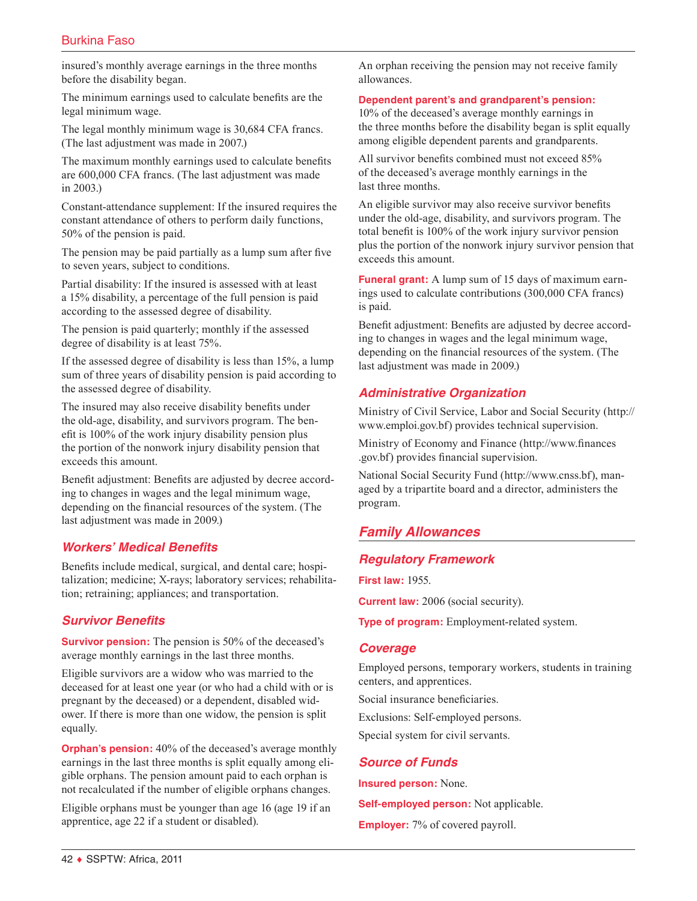# Burkina Faso

insured's monthly average earnings in the three months before the disability began.

The minimum earnings used to calculate benefits are the legal minimum wage.

The legal monthly minimum wage is 30,684 CFA francs. (The last adjustment was made in 2007.)

The maximum monthly earnings used to calculate benefits are 600,000 CFA francs. (The last adjustment was made in 2003.)

Constant-attendance supplement: If the insured requires the constant attendance of others to perform daily functions, 50% of the pension is paid.

The pension may be paid partially as a lump sum after five to seven years, subject to conditions.

Partial disability: If the insured is assessed with at least a 15% disability, a percentage of the full pension is paid according to the assessed degree of disability.

The pension is paid quarterly; monthly if the assessed degree of disability is at least 75%.

If the assessed degree of disability is less than 15%, a lump sum of three years of disability pension is paid according to the assessed degree of disability.

The insured may also receive disability benefits under the old-age, disability, and survivors program. The benefit is 100% of the work injury disability pension plus the portion of the nonwork injury disability pension that exceeds this amount.

Benefit adjustment: Benefits are adjusted by decree according to changes in wages and the legal minimum wage, depending on the financial resources of the system. (The last adjustment was made in 2009.)

## *Workers' Medical Benefits*

Benefits include medical, surgical, and dental care; hospitalization; medicine; X-rays; laboratory services; rehabilitation; retraining; appliances; and transportation.

## *Survivor Benefits*

**Survivor pension:** The pension is 50% of the deceased's average monthly earnings in the last three months.

Eligible survivors are a widow who was married to the deceased for at least one year (or who had a child with or is pregnant by the deceased) or a dependent, disabled widower. If there is more than one widow, the pension is split equally.

**Orphan's pension:** 40% of the deceased's average monthly earnings in the last three months is split equally among eligible orphans. The pension amount paid to each orphan is not recalculated if the number of eligible orphans changes.

Eligible orphans must be younger than age 16 (age 19 if an apprentice, age 22 if a student or disabled).

An orphan receiving the pension may not receive family allowances.

#### **Dependent parent's and grandparent's pension:**

10% of the deceased's average monthly earnings in the three months before the disability began is split equally among eligible dependent parents and grandparents.

All survivor benefits combined must not exceed 85% of the deceased's average monthly earnings in the last three months.

An eligible survivor may also receive survivor benefits under the old-age, disability, and survivors program. The total benefit is 100% of the work injury survivor pension plus the portion of the nonwork injury survivor pension that exceeds this amount.

**Funeral grant:** A lump sum of 15 days of maximum earnings used to calculate contributions (300,000 CFA francs) is paid.

Benefit adjustment: Benefits are adjusted by decree according to changes in wages and the legal minimum wage, depending on the financial resources of the system. (The last adjustment was made in 2009.)

# *Administrative Organization*

Ministry of Civil Service, Labor and Social Security ([http://](http://www.emploi.gov.bf) [www.emploi.gov.bf](http://www.emploi.gov.bf)) provides technical supervision.

Ministry of Economy and Finance ([http://www.finances](http://www.finances.gov.bf) [.gov.bf\)](http://www.finances.gov.bf) provides financial supervision.

National Social Security Fund [\(http://www.cnss.bf\)](http://www.cnss.bf), managed by a tripartite board and a director, administers the program.

# *Family Allowances*

## *Regulatory Framework*

**First law:** 1955.

**Current law:** 2006 (social security).

**Type of program:** Employment-related system.

## *Coverage*

Employed persons, temporary workers, students in training centers, and apprentices.

Social insurance beneficiaries.

Exclusions: Self-employed persons.

Special system for civil servants.

## *Source of Funds*

**Insured person:** None.

**Self-employed person:** Not applicable.

**Employer:** 7% of covered payroll.